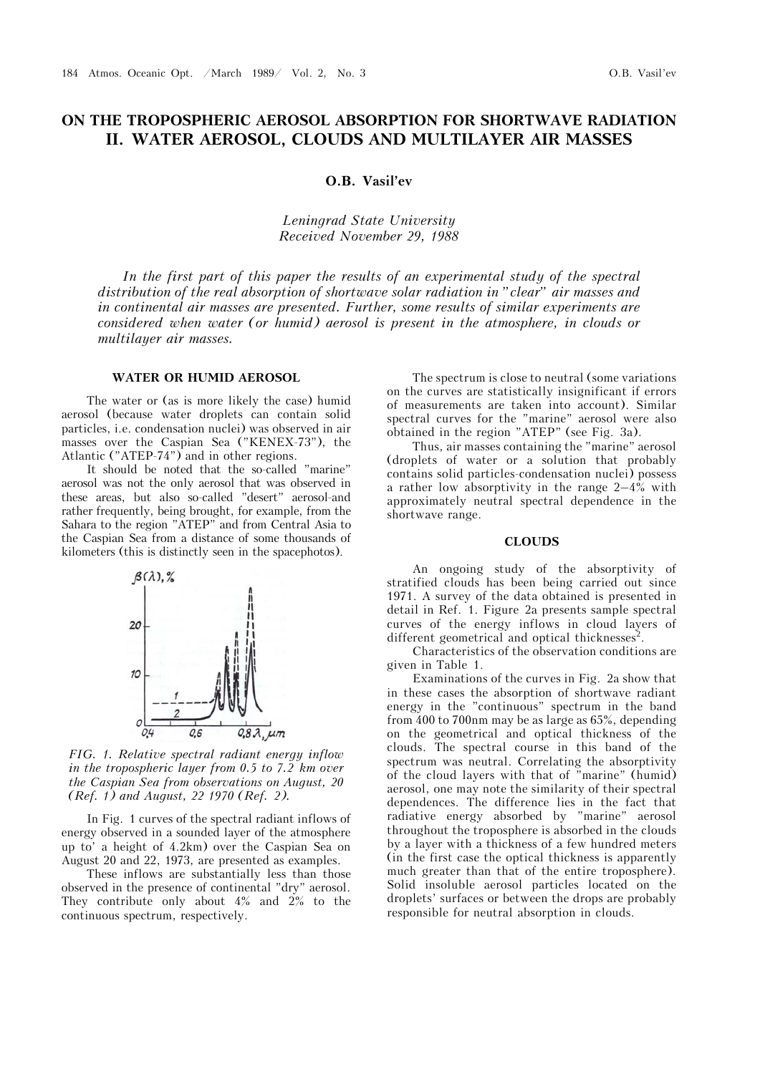# **ON THE TROPOSPHERIC AEROSOL ABSORPTION FOR SHORTWAVE RADIATION II. WATER AEROSOL, CLOUDS AND MULTILAYER AIR MASSES**

**O.B. Vasil'ev**

*Leningrad State University Received November 29, 1988* 

*In the first part of this paper the results of an experimental study of the spectral distribution of the real absorption of shortwave solar radiation in "clear" air masses and in continental air masses are presented. Further, some results of similar experiments are considered when water (or humid) aerosol is present in the atmosphere, in clouds or multilayer air masses.* 

### **WATER OR HUMID AEROSOL**

The water or (as is more likely the case) humid aerosol (because water droplets can contain solid particles, i.e. condensation nuclei) was observed in air masses over the Caspian Sea ("KENEX-73"), the Atlantic ("ATEP-74") and in other regions.

It should be noted that the so-called "marine" aerosol was not the only aerosol that was observed in these areas, but also so-called "desert" aerosol-and rather frequently, being brought, for example, from the Sahara to the region "ATEP" and from Central Asia to the Caspian Sea from a distance of some thousands of kilometers (this is distinctly seen in the spacephotos).



*FIG. 1. Relative spectral radiant energy inflow in the tropospheric layer from 0.5 to 7.2 km over the Caspian Sea from observations on August, 20 (Ref. 1) and August, 22 1970 (Ref. 2).*

In Fig. 1 curves of the spectral radiant inflows of energy observed in a sounded layer of the atmosphere up to' a height of 4.2km) over the Caspian Sea on August 20 and 22, 1973, are presented as examples.

These inflows are substantially less than those observed in the presence of continental "dry" aerosol. They contribute only about 4% and 2% to the continuous spectrum, respectively.

The spectrum is close to neutral (some variations on the curves are statistically insignificant if errors of measurements are taken into account). Similar spectral curves for the "marine" aerosol were also obtained in the region "ATEP" (see Fig. 3a).

Thus, air masses containing the "marine" aerosol (droplets of water or a solution that probably contains solid particles-condensation nuclei) possess a rather low absorptivity in the range 2–4% with approximately neutral spectral dependence in the shortwave range.

## **CLOUDS**

An ongoing study of the absorptivity of stratified clouds has been being carried out since 1971. A survey of the data obtained is presented in detail in Ref. 1. Figure 2a presents sample spectral curves of the energy inflows in cloud layers of different geometrical and optical thicknesses<sup>2</sup>.

Characteristics of the observation conditions are given in Table 1.

Examinations of the curves in Fig. 2a show that in these cases the absorption of shortwave radiant energy in the "continuous" spectrum in the band from 400 to 700nm may be as large as 65%, depending on the geometrical and optical thickness of the clouds. The spectral course in this band of the spectrum was neutral. Correlating the absorptivity of the cloud layers with that of "marine" (humid) aerosol, one may note the similarity of their spectral dependences. The difference lies in the fact that radiative energy absorbed by "marine" aerosol throughout the troposphere is absorbed in the clouds by a layer with a thickness of a few hundred meters (in the first case the optical thickness is apparently much greater than that of the entire troposphere). Solid insoluble aerosol particles located on the droplets' surfaces or between the drops are probably responsible for neutral absorption in clouds.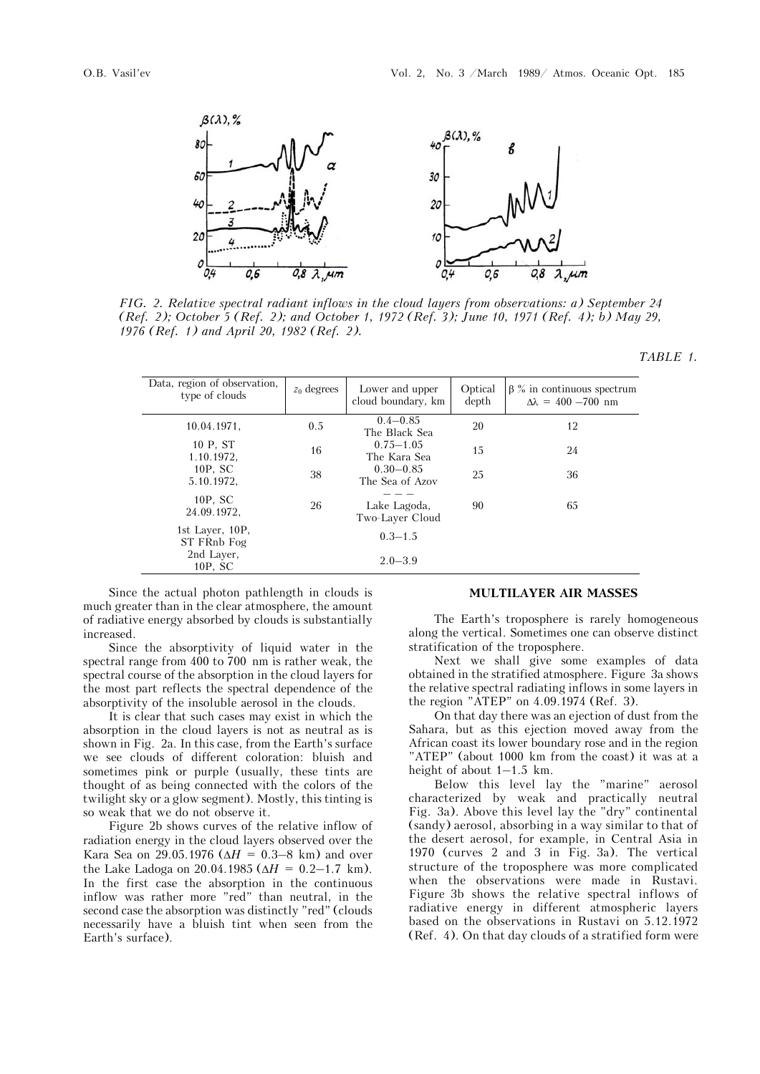



*FIG. 2. Relative spectral radiant inflows in the cloud layers from observations: a) September 24 (Ref. 2); October 5 (Ref. 2); and October 1, 1972 (Ref. 3); June 10, 1971 (Ref. 4); b) May 29, 1976 (Ref. 1) and April 20, 1982 (Ref. 2).*

*TABLE 1.*

| Data, region of observation,<br>type of clouds | $z_0$ degrees | Lower and upper<br>cloud boundary, km | Optical<br>depth | $\beta$ % in continuous spectrum<br>$\Delta\lambda = 400 - 700$ nm |
|------------------------------------------------|---------------|---------------------------------------|------------------|--------------------------------------------------------------------|
| 10.04.1971,                                    | 0.5           | $0.4 - 0.85$<br>The Black Sea         | 20               | 12                                                                 |
| 10 P, ST<br>1.10.1972,                         | 16            | $0.75 - 1.05$<br>The Kara Sea         | 15               | 24                                                                 |
| $10P$ , SC<br>5.10.1972,                       | 38            | $0.30 - 0.85$<br>The Sea of Azov      | 25               | 36                                                                 |
| $10P$ , SC<br>24.09.1972.                      | 26            | Lake Lagoda,<br>Two-Laver Cloud       | 90               | 65                                                                 |
| 1st Layer, 10P,<br>ST FRnb Fog                 |               | $0.3 - 1.5$                           |                  |                                                                    |
| 2nd Laver,<br>10P, SC                          |               | $2.0 - 3.9$                           |                  |                                                                    |

Since the actual photon pathlength in clouds is much greater than in the clear atmosphere, the amount of radiative energy absorbed by clouds is substantially increased.

Since the absorptivity of liquid water in the spectral range from 400 to 700 nm is rather weak, the spectral course of the absorption in the cloud layers for the most part reflects the spectral dependence of the absorptivity of the insoluble aerosol in the clouds.

It is clear that such cases may exist in which the absorption in the cloud layers is not as neutral as is shown in Fig. 2a. In this case, from the Earth's surface we see clouds of different coloration: bluish and sometimes pink or purple (usually, these tints are thought of as being connected with the colors of the twilight sky or a glow segment). Mostly, this tinting is so weak that we do not observe it.

Figure 2b shows curves of the relative inflow of radiation energy in the cloud layers observed over the Kara Sea on 29.05.1976 ( $\Delta H = 0.3-8$  km) and over the Lake Ladoga on 20.04.1985 ( $\Delta H = 0.2 - 1.7$  km). In the first case the absorption in the continuous inflow was rather more "red" than neutral, in the second case the absorption was distinctly "red" (clouds necessarily have a bluish tint when seen from the Earth's surface).

#### **MULTILAYER AIR MASSES**

The Earth's troposphere is rarely homogeneous along the vertical. Sometimes one can observe distinct stratification of the troposphere.

Next we shall give some examples of data obtained in the stratified atmosphere. Figure 3a shows the relative spectral radiating inflows in some layers in the region "ATEP" on 4.09.1974 (Ref. 3).

On that day there was an ejection of dust from the Sahara, but as this ejection moved away from the African coast its lower boundary rose and in the region "ATEP" (about 1000 km from the coast) it was at a height of about 1–1.5 km.

Below this level lay the "marine" aerosol characterized by weak and practically neutral Fig. 3a). Above this level lay the "dry" continental (sandy) aerosol, absorbing in a way similar to that of the desert aerosol, for example, in Central Asia in 1970 (curves 2 and 3 in Fig. 3a). The vertical structure of the troposphere was more complicated when the observations were made in Rustavi. Figure 3b shows the relative spectral inflows of radiative energy in different atmospheric layers based on the observations in Rustavi on 5.12.1972 (Ref. 4). On that day clouds of a stratified form were